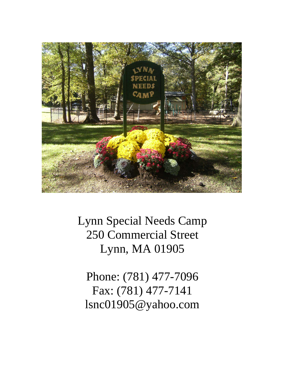

Lynn Special Needs Camp 250 Commercial Street Lynn, MA 01905

Phone: (781) 477-7096 Fax: (781) 477-7141 lsnc01905@yahoo.com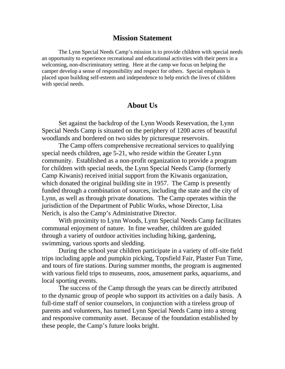# **Mission Statement**

 The Lynn Special Needs Camp's mission is to provide children with special needs an opportunity to experience recreational and educational activities with their peers in a welcoming, non-discriminatory setting. Here at the camp we focus on helping the camper develop a sense of responsibility and respect for others. Special emphasis is placed upon building self-esteem and independence to help enrich the lives of children with special needs.

# **About Us**

Set against the backdrop of the Lynn Woods Reservation, the Lynn Special Needs Camp is situated on the periphery of 1200 acres of beautiful woodlands and bordered on two sides by picturesque reservoirs.

The Camp offers comprehensive recreational services to qualifying special needs children, age 5-21, who reside within the Greater Lynn community. Established as a non-profit organization to provide a program for children with special needs, the Lynn Special Needs Camp (formerly Camp Kiwanis) received initial support from the Kiwanis organization, which donated the original building site in 1957. The Camp is presently funded through a combination of sources, including the state and the city of Lynn, as well as through private donations. The Camp operates within the jurisdiction of the Department of Public Works, whose Director, Lisa Nerich, is also the Camp's Administrative Director.

With proximity to Lynn Woods, Lynn Special Needs Camp facilitates communal enjoyment of nature. In fine weather, children are guided through a variety of outdoor activities including hiking, gardening, swimming, various sports and sledding.

During the school year children participate in a variety of off-site field trips including apple and pumpkin picking, Topsfield Fair, Plaster Fun Time, and tours of fire stations. During summer months, the program is augmented with various field trips to museums, zoos, amusement parks, aquariums, and local sporting events.

The success of the Camp through the years can be directly attributed to the dynamic group of people who support its activities on a daily basis. A full-time staff of senior counselors, in conjunction with a tireless group of parents and volunteers, has turned Lynn Special Needs Camp into a strong and responsive community asset. Because of the foundation established by these people, the Camp's future looks bright.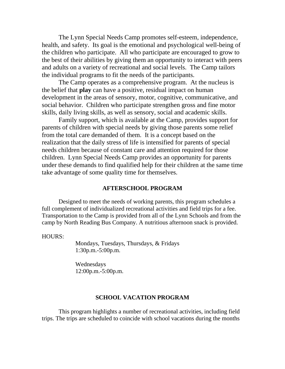The Lynn Special Needs Camp promotes self-esteem, independence, health, and safety. Its goal is the emotional and psychological well-being of the children who participate. All who participate are encouraged to grow to the best of their abilities by giving them an opportunity to interact with peers and adults on a variety of recreational and social levels. The Camp tailors the individual programs to fit the needs of the participants.

The Camp operates as a comprehensive program. At the nucleus is the belief that **play** can have a positive, residual impact on human development in the areas of sensory, motor, cognitive, communicative, and social behavior. Children who participate strengthen gross and fine motor skills, daily living skills, as well as sensory, social and academic skills.

Family support, which is available at the Camp, provides support for parents of children with special needs by giving those parents some relief from the total care demanded of them. It is a concept based on the realization that the daily stress of life is intensified for parents of special needs children because of constant care and attention required for those children. Lynn Special Needs Camp provides an opportunity for parents under these demands to find qualified help for their children at the same time take advantage of some quality time for themselves.

#### **AFTERSCHOOL PROGRAM**

Designed to meet the needs of working parents, this program schedules a full complement of individualized recreational activities and field trips for a fee. Transportation to the Camp is provided from all of the Lynn Schools and from the camp by North Reading Bus Company. A nutritious afternoon snack is provided.

HOURS:

Mondays, Tuesdays, Thursdays, & Fridays 1:30p.m.-5:00p.m.

Wednesdays 12:00p.m.-5:00p.m.

### **SCHOOL VACATION PROGRAM**

This program highlights a number of recreational activities, including field trips. The trips are scheduled to coincide with school vacations during the months